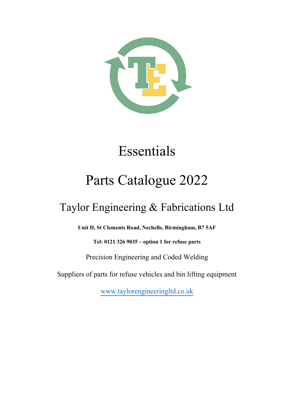

# Essentials

## Parts Catalogue 2022

## Taylor Engineering & Fabrications Ltd

**Unit D, St Clements Road, Nechells, Birmingham, B7 5AF**

**Tel: 0121 326 9035 – option 1 for refuse parts**

Precision Engineering and Coded Welding

Suppliers of parts for refuse vehicles and bin lifting equipment

[www.taylorengineeringltd.co.uk](http://www.taylorengineeringltd.co.uk/)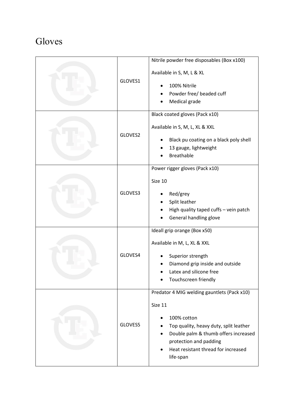#### Gloves

| GLOVES1 | Nitrile powder free disposables (Box x100)<br>Available in S, M, L & XL<br>100% Nitrile<br>Powder free/ beaded cuff<br>Medical grade                                                                                                  |
|---------|---------------------------------------------------------------------------------------------------------------------------------------------------------------------------------------------------------------------------------------|
| GLOVES2 | Black coated gloves (Pack x10)<br>Available in S, M, L, XL & XXL<br>Black pu coating on a black poly shell<br>13 gauge, lightweight<br><b>Breathable</b>                                                                              |
| GLOVES3 | Power rigger gloves (Pack x10)<br>Size 10<br>Red/grey<br>Split leather<br>High quality taped cuffs - vein patch<br>General handling glove                                                                                             |
| GLOVES4 | Ideall grip orange (Box x50)<br>Available in M, L, XL & XXL<br>Superior strength<br>Diamond grip inside and outside<br>Latex and silicone free<br>Touchscreen friendly                                                                |
| GLOVES5 | Predator 4 MIG welding gauntlets (Pack x10)<br>Size 11<br>100% cotton<br>Top quality, heavy duty, split leather<br>Double palm & thumb offers increased<br>protection and padding<br>Heat resistant thread for increased<br>life-span |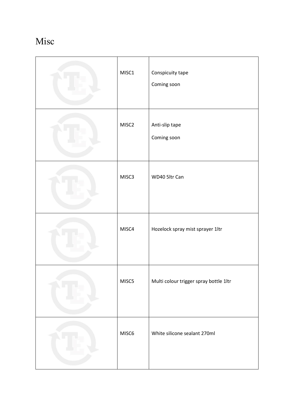### Misc

| MISC1 | Conspicuity tape<br>Coming soon        |
|-------|----------------------------------------|
| MISC2 | Anti-slip tape<br>Coming soon          |
| MISC3 | WD40 5ltr Can                          |
| MISC4 | Hozelock spray mist sprayer 1ltr       |
| MISC5 | Multi colour trigger spray bottle 1ltr |
| MISC6 | White silicone sealant 270ml           |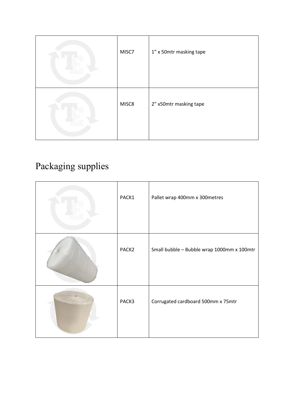| MISC7 | 1" x 50mtr masking tape |
|-------|-------------------------|
| MISC8 | 2" x50mtr masking tape  |

## Packaging supplies

| PACK1             | Pallet wrap 400mm x 300metres              |
|-------------------|--------------------------------------------|
| PACK <sub>2</sub> | Small bubble - Bubble wrap 1000mm x 100mtr |
| PACK3             | Corrugated cardboard 500mm x 75mtr         |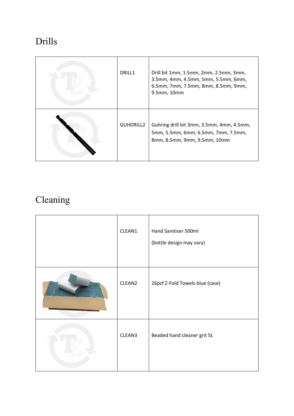#### Drills

| DRILL1           | Drill bit 1mm, 1.5mm, 2mm, 2.5mm, 3mm,<br>3.5mm, 4mm, 4.5mm, 5mm, 5.5mm, 6mm,<br>6.5mm, 7mm, 7.5mm, 8mm, 8.5mm, 9mm,<br>9.5mm, 10mm |
|------------------|-------------------------------------------------------------------------------------------------------------------------------------|
| <b>GUHDRILL2</b> | Guhring drill bit 3mm, 3.5mm, 4mm, 4.5mm,<br>5mm, 5.5mm, 6mm, 6.5mm, 7mm, 7.5mm,<br>8mm, 8.5mm, 9mm, 9.5mm, 10mm                    |

### Cleaning

| CLEAN1 | Hand Sanitiser 500ml<br>(bottle design may vary) |
|--------|--------------------------------------------------|
| CLEAN2 | 26pzf Z-Fold Towels blue (case)                  |
| CLEAN3 | Beaded hand cleaner grit 5L                      |